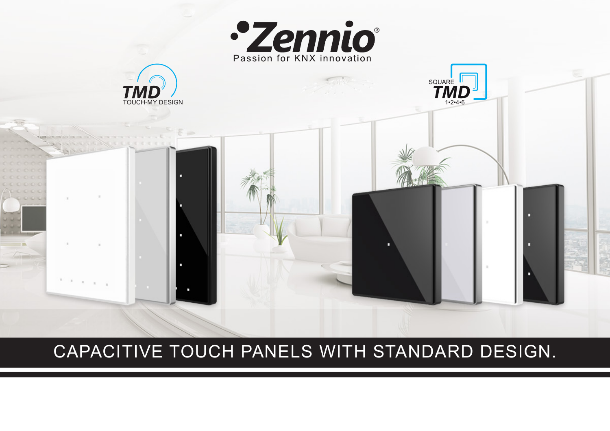

## CAPACITIVE TOUCH PANELS WITH STANDARD DESIGN.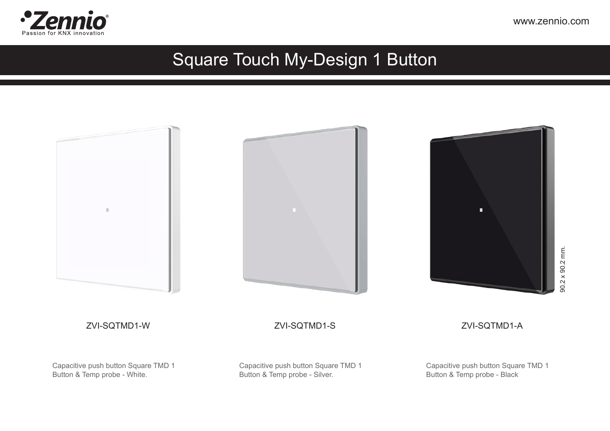

#### Square Touch My-Design 1 Button

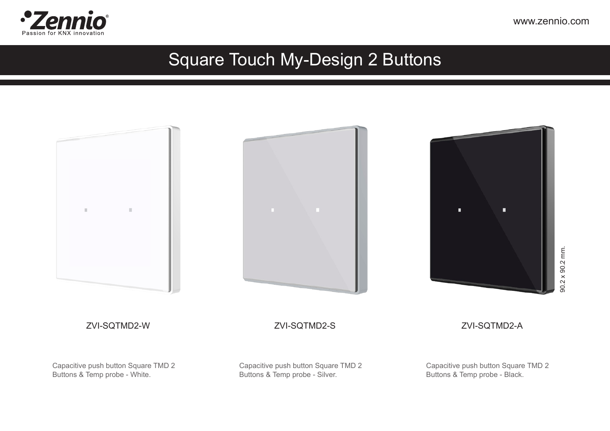

#### Square Touch My-Design 2 Buttons

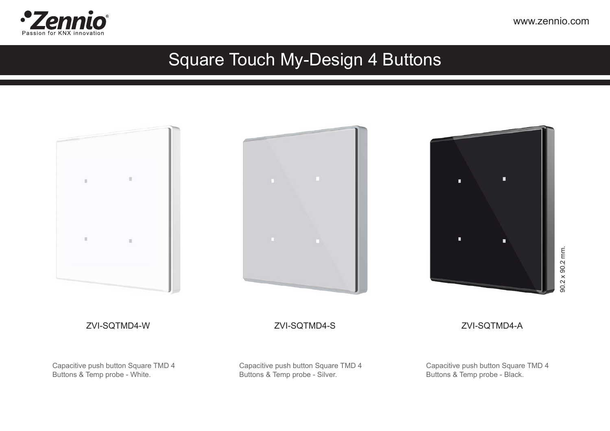

#### Square Touch My-Design 4 Buttons

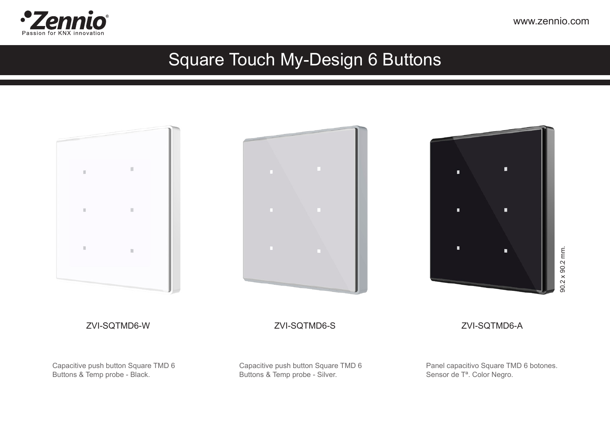

#### Square Touch My-Design 6 Buttons

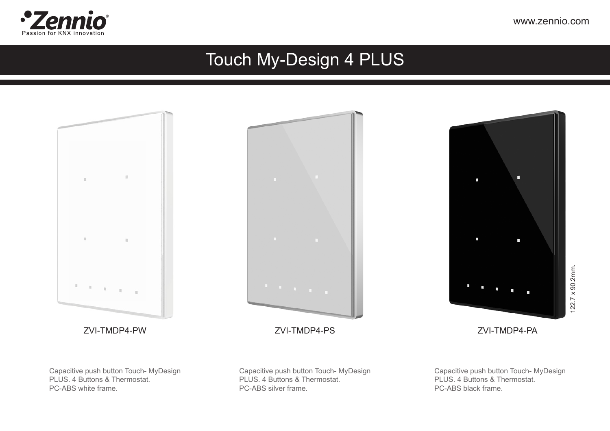

### Touch My-Design 4 PLUS

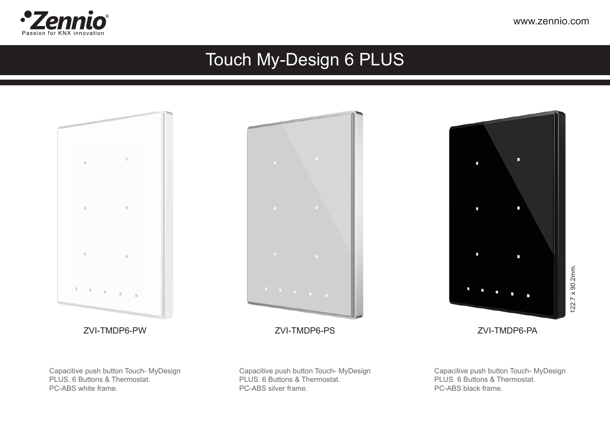

### Touch My-Design 6 PLUS

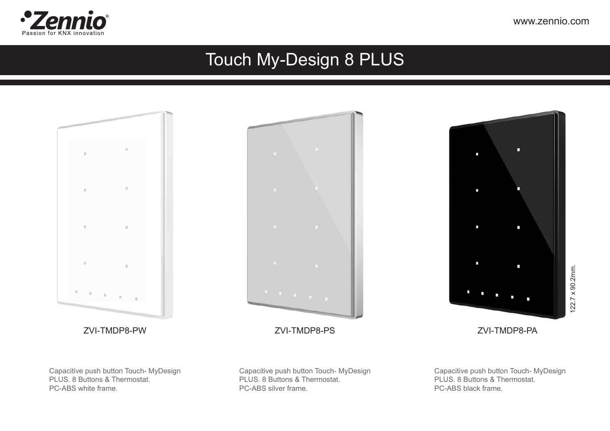

### Touch My-Design 8 PLUS